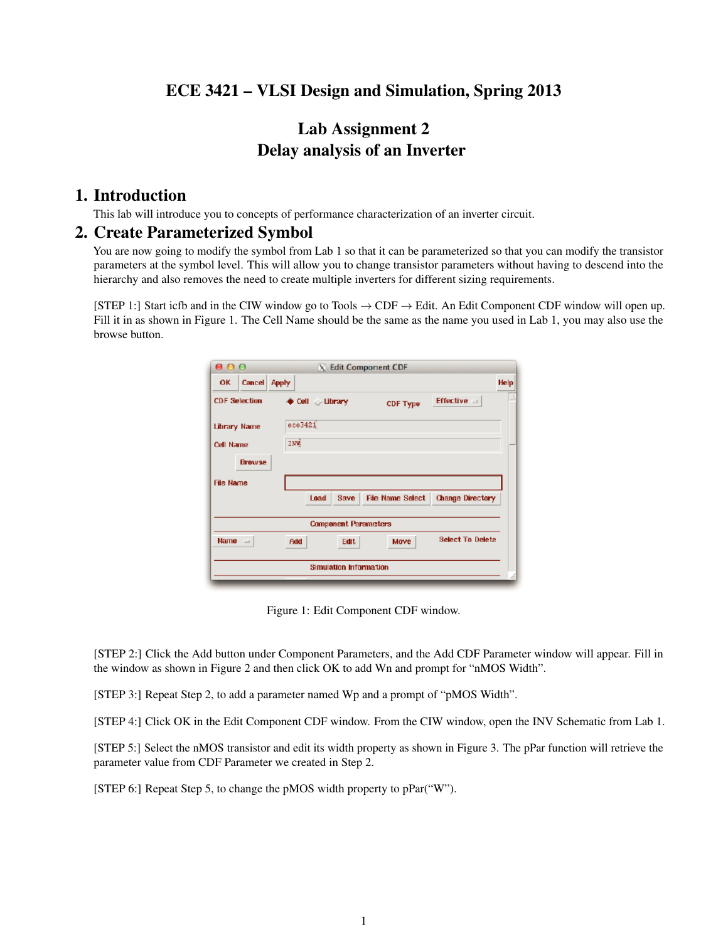# ECE 3421 – VLSI Design and Simulation, Spring 2013

# Lab Assignment 2 Delay analysis of an Inverter

### 1. Introduction

This lab will introduce you to concepts of performance characterization of an inverter circuit.

#### 2. Create Parameterized Symbol

You are now going to modify the symbol from Lab 1 so that it can be parameterized so that you can modify the transistor parameters at the symbol level. This will allow you to change transistor parameters without having to descend into the hierarchy and also removes the need to create multiple inverters for different sizing requirements.

[STEP 1:] Start icfb and in the CIW window go to Tools  $\rightarrow$  CDF  $\rightarrow$  Edit. An Edit Component CDF window will open up. Fill it in as shown in Figure [1.](#page-0-0) The Cell Name should be the same as the name you used in Lab 1, you may also use the browse button.

| 000                        | X Edit Component CDF                                               |             |
|----------------------------|--------------------------------------------------------------------|-------------|
| <b>Cancel</b><br><b>OK</b> | <b>Apply</b>                                                       | <b>Help</b> |
| <b>CDF Selection</b>       | Effective $\equiv$<br>♦ Cell / Library<br><b>CDF Type</b>          |             |
| <b>Library Name</b>        | $e$ pe $3421$                                                      |             |
| Cell Name                  | INW                                                                |             |
| <b>Browse</b>              |                                                                    |             |
| <b>File Name</b>           |                                                                    |             |
|                            | <b>File Name Select</b><br><b>Change Directory</b><br>Save<br>Load |             |
|                            | <b>Component Parameters</b>                                        |             |
| <b>Name</b><br>$\equiv$    | <b>Select To Delete</b><br>Move<br><b>Add</b><br>Edit              |             |
|                            | <b>Simulation Information</b>                                      |             |
|                            |                                                                    |             |

<span id="page-0-0"></span>Figure 1: Edit Component CDF window.

[STEP 2:] Click the Add button under Component Parameters, and the Add CDF Parameter window will appear. Fill in the window as shown in Figure [2](#page-1-0) and then click OK to add Wn and prompt for "nMOS Width".

[STEP 3:] Repeat Step 2, to add a parameter named Wp and a prompt of "pMOS Width".

[STEP 4:] Click OK in the Edit Component CDF window. From the CIW window, open the INV Schematic from Lab 1.

[STEP 5:] Select the nMOS transistor and edit its width property as shown in Figure [3.](#page-1-1) The pPar function will retrieve the parameter value from CDF Parameter we created in Step 2.

[STEP 6:] Repeat Step 5, to change the pMOS width property to pPar("W").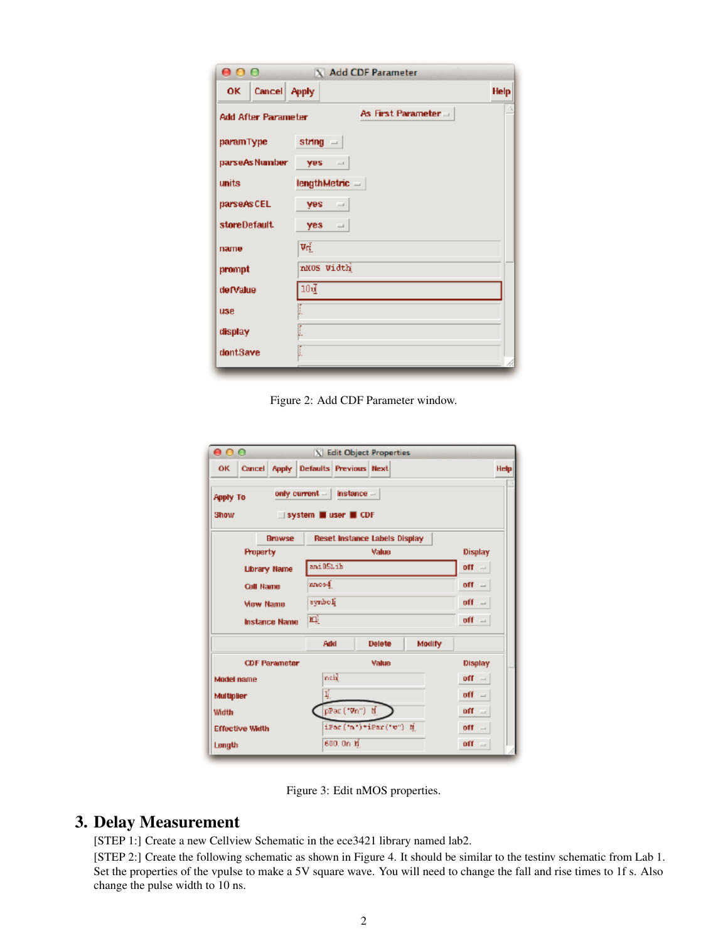| 000                                              | X Add CDF Parameter    |             |  |  |  |
|--------------------------------------------------|------------------------|-------------|--|--|--|
| Cancel Apply<br>OK.                              |                        | <b>Help</b> |  |  |  |
| As First Parameter<br><b>Add After Parameter</b> |                        |             |  |  |  |
| paramType                                        | string $=$             |             |  |  |  |
| parseAsNumber                                    | yes.<br>$\sim$         |             |  |  |  |
| units                                            | $lengthMetric =$       |             |  |  |  |
| parseAs CEL                                      | <b>Ves</b><br>$\equiv$ |             |  |  |  |
| storeDefault.                                    | $yes =$                |             |  |  |  |
| палте                                            | Vď                     |             |  |  |  |
| prompt                                           | nNOS Width             |             |  |  |  |
| de Malue                                         | $10\mathrm{d}$         |             |  |  |  |
| <b>USB</b>                                       |                        |             |  |  |  |
| display                                          | I.                     |             |  |  |  |
| dontSave                                         | I                      |             |  |  |  |

<span id="page-1-0"></span>Figure 2: Add CDF Parameter window.

| 000                     |                      |                                                                                   | X Edit Object Properties             |                 |                                 |      |
|-------------------------|----------------------|-----------------------------------------------------------------------------------|--------------------------------------|-----------------|---------------------------------|------|
| <b>OK</b>               |                      | Cancel Apply Defaults Previous Next                                               |                                      |                 |                                 | Help |
| <b>Apply To</b><br>Show |                      | only current $  $<br>$\blacksquare$ system $\blacksquare$ user $\blacksquare$ CDF | $instance -$                         |                 |                                 |      |
|                         | <b>Browse</b>        |                                                                                   | <b>Reset Instance Labels Display</b> |                 |                                 |      |
| <b>Property</b>         |                      | Value                                                                             |                                      |                 | Display                         |      |
| <b>Library Name</b>     |                      | ani051jh                                                                          |                                      |                 | $-$ 110                         |      |
| <b>Cell Name</b>        |                      | nnos4.                                                                            |                                      |                 | off $-$                         |      |
| <b>View Name</b>        |                      | synbolį̃<br>off<br>$\equiv$                                                       |                                      |                 |                                 |      |
|                         | <b>Instance Name</b> | юļ<br>off $=$                                                                     |                                      |                 |                                 |      |
|                         |                      | Add                                                                               | <b>Delete</b>                        | Modify          |                                 |      |
|                         | <b>CDF Parameter</b> |                                                                                   | Value                                |                 | Display                         |      |
| Model name              |                      | nek                                                                               |                                      |                 | $-100$                          |      |
| Multiplier              |                      | ų.                                                                                |                                      |                 | off<br>$\equiv$                 |      |
| Width                   |                      | pPac ("Vo") - N                                                                   |                                      | off<br>$\equiv$ |                                 |      |
| <b>Effective Width</b>  |                      | iPar('n')*iPar('v") N<br>off                                                      |                                      |                 | $\qquad \qquad$                 |      |
| Length                  |                      | 600.0n b                                                                          |                                      |                 | off<br>$\overline{\phantom{a}}$ |      |

<span id="page-1-1"></span>Figure 3: Edit nMOS properties.

## 3. Delay Measurement

[STEP 1:] Create a new Cellview Schematic in the ece3421 library named lab2.

[STEP 2:] Create the following schematic as shown in Figure [4.](#page-2-0) It should be similar to the testinv schematic from Lab 1. Set the properties of the vpulse to make a 5V square wave. You will need to change the fall and rise times to 1f s. Also change the pulse width to 10 ns.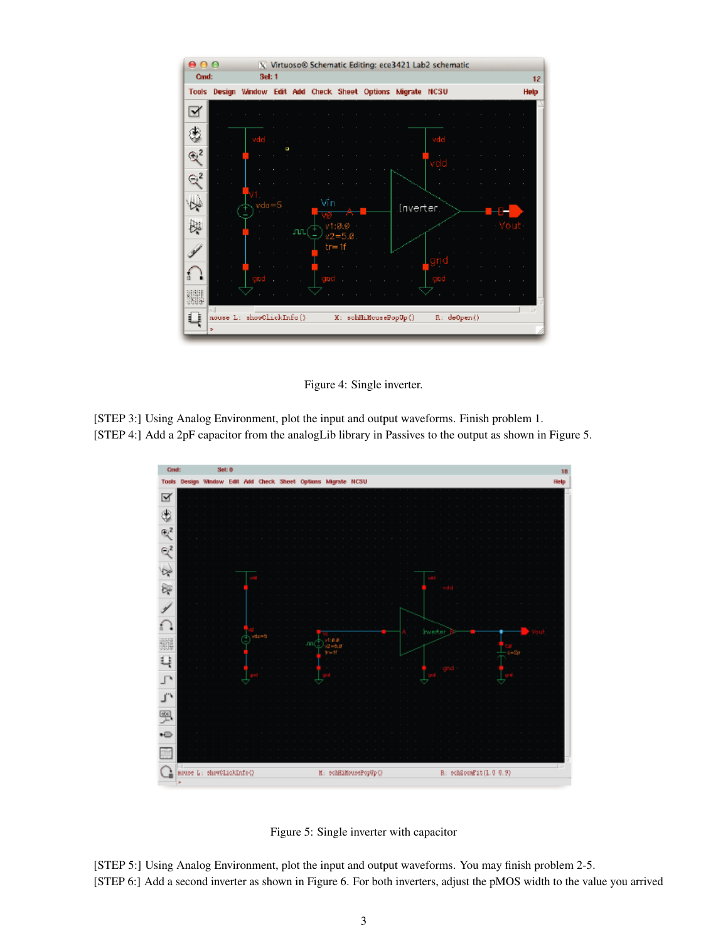

<span id="page-2-0"></span>Figure 4: Single inverter.

[STEP 3:] Using Analog Environment, plot the input and output waveforms. Finish problem 1. [STEP 4:] Add a 2pF capacitor from the analogLib library in Passives to the output as shown in Figure [5.](#page-2-1)



<span id="page-2-1"></span>

[STEP 5:] Using Analog Environment, plot the input and output waveforms. You may finish problem 2-5. [STEP 6:] Add a second inverter as shown in Figure [6.](#page-3-0) For both inverters, adjust the pMOS width to the value you arrived